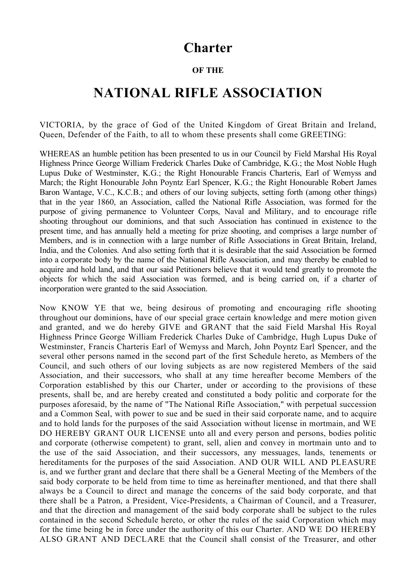## **Charter**

## **OF THE**

## **NATIONAL RIFLE ASSOCIATION**

VICTORIA, by the grace of God of the United Kingdom of Great Britain and Ireland, Queen, Defender of the Faith, to all to whom these presents shall come GREETING:

WHEREAS an humble petition has been presented to us in our Council by Field Marshal His Royal Highness Prince George William Frederick Charles Duke of Cambridge, K.G.; the Most Noble Hugh Lupus Duke of Westminster, K.G.; the Right Honourable Francis Charteris, Earl of Wemyss and March; the Right Honourable John Poyntz Earl Spencer, K.G.; the Right Honourable Robert James Baron Wantage, V.C., K.C.B.; and others of our loving subjects, setting forth (among other things) that in the year 1860, an Association, called the National Rifle Association, was formed for the purpose of giving permanence to Volunteer Corps, Naval and Military, and to encourage rifle shooting throughout our dominions, and that such Association has continued in existence to the present time, and has annually held a meeting for prize shooting, and comprises a large number of Members, and is in connection with a large number of Rifle Associations in Great Britain, Ireland, India, and the Colonies. And also setting forth that it is desirable that the said Association be formed into a corporate body by the name of the National Rifle Association, and may thereby be enabled to acquire and hold land, and that our said Petitioners believe that it would tend greatly to promote the objects for which the said Association was formed, and is being carried on, if a charter of incorporation were granted to the said Association.

Now KNOW YE that we, being desirous of promoting and encouraging rifle shooting throughout our dominions, have of our special grace certain knowledge and mere motion given and granted, and we do hereby GIVE and GRANT that the said Field Marshal His Royal Highness Prince George William Frederick Charles Duke of Cambridge, Hugh Lupus Duke of Westminster, Francis Charteris Earl of Wemyss and March, John Poyntz Earl Spencer, and the several other persons named in the second part of the first Schedule hereto, as Members of the Council, and such others of our loving subjects as are now registered Members of the said Association, and their successors, who shall at any time hereafter become Members of the Corporation established by this our Charter, under or according to the provisions of these presents, shall be, and are hereby created and constituted a body politic and corporate for the purposes aforesaid, by the name of "The National Rifle Association," with perpetual succession and a Common Seal, with power to sue and be sued in their said corporate name, and to acquire and to hold lands for the purposes of the said Association without license in mortmain, and WE DO HEREBY GRANT OUR LICENSE unto all and every person and persons, bodies politic and corporate (otherwise competent) to grant, sell, alien and convey in mortmain unto and to the use of the said Association, and their successors, any messuages, lands, tenements or hereditaments for the purposes of the said Association. AND OUR WILL AND PLEASURE is, and we further grant and declare that there shall be a General Meeting of the Members of the said body corporate to be held from time to time as hereinafter mentioned, and that there shall always be a Council to direct and manage the concerns of the said body corporate, and that there shall be a Patron, a President, Vice-Presidents, a Chairman of Council, and a Treasurer, and that the direction and management of the said body corporate shall be subject to the rules contained in the second Schedule hereto, or other the rules of the said Corporation which may for the time being be in force under the authority of this our Charter. AND WE DO HEREBY ALSO GRANT AND DECLARE that the Council shall consist of the Treasurer, and other